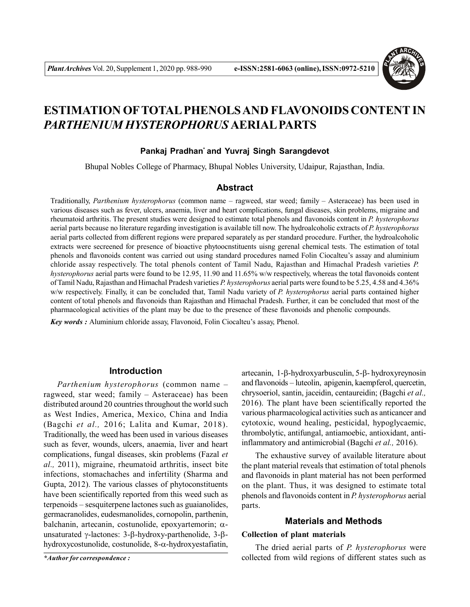

# **ESTIMATION OFTOTAL PHENOLS AND FLAVONOIDS CONTENT IN** *PARTHENIUM HYSTEROPHORUS* **AERIAL PARTS**

# **Pankaj Pradhan\* and Yuvraj Singh Sarangdevot**

Bhupal Nobles College of Pharmacy, Bhupal Nobles University, Udaipur, Rajasthan, India.

## **Abstract**

Traditionally, *Parthenium hysterophorus* (common name – ragweed, star weed; family – Asteraceae) has been used in various diseases such as fever, ulcers, anaemia, liver and heart complications, fungal diseases, skin problems, migraine and rheumatoid arthritis. The present studies were designed to estimate total phenols and flavonoids content in *P. hysterophorus* aerial parts because no literature regarding investigation is available till now. The hydroalcoholic extracts of *P. hysterophorus* aerial parts collected from different regions were prepared separately as per standard procedure. Further, the hydroalcoholic extracts were secreened for presence of bioactive phytoocnstituents uisng gerenal chemical tests. The estimation of total phenols and flavonoids content was carried out using standard procedures named Folin Ciocalteu's assay and aluminium chloride assay respectively. The total phenols content of Tamil Nadu, Rajasthan and Himachal Pradesh varieties *P. hysterophorus* aerial parts were found to be 12.95, 11.90 and 11.65% w/w respectively, whereas the total flavonoids content of Tamil Nadu, Rajasthan and Himachal Pradesh varieties *P. hysterophorus* aerial parts were found to be 5.25, 4.58 and 4.36% w/w respectively. Finally, it can be concluded that, Tamil Nadu variety of *P. hysterophorus* aerial parts contained higher content of total phenols and flavonoids than Rajasthan and Himachal Pradesh. Further, it can be concluded that most of the pharmacological activities of the plant may be due to the presence of these flavonoids and phenolic compounds.

*Key words :* Aluminium chloride assay, Flavonoid, Folin Ciocalteu's assay, Phenol.

## **Introduction**

*Parthenium hysterophorus* (common name – ragweed, star weed; family – Asteraceae) has been distributed around 20 countries throughout the world such as West Indies, America, Mexico, China and India (Bagchi *et al.,* 2016; Lalita and Kumar, 2018). Traditionally, the weed has been used in various diseases such as fever, wounds, ulcers, anaemia, liver and heart complications, fungal diseases, skin problems (Fazal *et al.,* 2011), migraine, rheumatoid arthritis, insect bite infections, stomachaches and infertility (Sharma and Gupta, 2012). The various classes of phytoconstituents have been scientifically reported from this weed such as terpenoids – sesquiterpene lactones such as guaianolides, germacranolides, eudesmanolides, cornopolin, parthenin, balchanin, artecanin, costunolide, epoxyartemorin;  $\alpha$ unsaturated  $\gamma$ -lactones: 3- $\beta$ -hydroxy-parthenolide, 3- $\beta$ hydroxycostunolide, costunolide,  $8-\alpha$ -hydroxyestafiatin,

artecanin,  $1-\beta$ -hydroxyarbusculin,  $5-\beta$ -hydroxyreynosin and flavonoids – luteolin, apigenin, kaempferol, quercetin, chrysoeriol, santin, jaceidin, centaureidin; (Bagchi *et al.,* 2016). The plant have been scientifically reported the various pharmacological activities such as anticancer and cytotoxic, wound healing, pesticidal, hypoglycaemic, thrombolytic, antifungal, antiamoebic, antioxidant, antiinflammatory and antimicrobial (Bagchi *et al.,* 2016).

The exhaustive survey of available literature about the plant material reveals that estimation of total phenols and flavonoids in plant material has not been performed on the plant. Thus, it was designed to estimate total phenols and flavonoids content in *P. hysterophorus* aerial parts.

# **Materials and Methods**

## **Collection of plant materials**

The dried aerial parts of *P. hysterophorus* were *\*Author for correspondence :* collected from wild regions of different states such as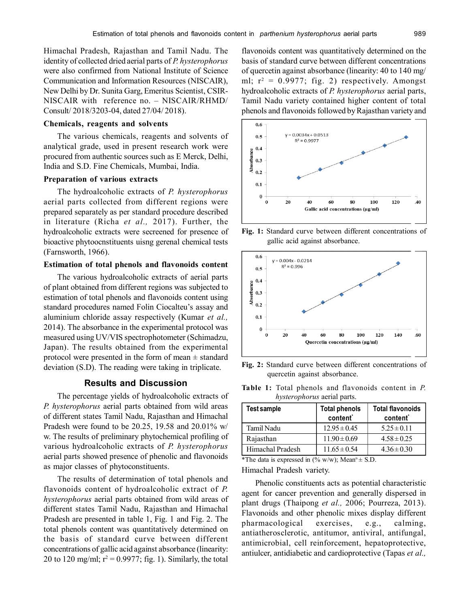Himachal Pradesh, Rajasthan and Tamil Nadu. The identity of collected dried aerial parts of *P. hysterophorus* were also confirmed from National Institute of Science Communication and Information Resources (NISCAIR), New Delhi by Dr. Sunita Garg, Emeritus Scientist, CSIR-NISCAIR with reference no. – NISCAIR/RHMD/ Consult/ 2018/3203-04, dated 27/04/ 2018).

#### **Chemicals, reagents and solvents**

The various chemicals, reagents and solvents of analytical grade, used in present research work were procured from authentic sources such as E Merck, Delhi, India and S.D. Fine Chemicals, Mumbai, India.

#### **Preparation of various extracts**

The hydroalcoholic extracts of *P. hysterophorus* aerial parts collected from different regions were prepared separately as per standard procedure described in literature (Richa *et al.,* 2017). Further, the hydroalcoholic extracts were secreened for presence of bioactive phytoocnstituents uisng gerenal chemical tests (Farnsworth, 1966).

## **Estimation of total phenols and flavonoids content**

The various hydroalcoholic extracts of aerial parts of plant obtained from different regions was subjected to estimation of total phenols and flavonoids content using standard procedures named Folin Ciocalteu's assay and aluminium chloride assay respectively (Kumar *et al.,* 2014). The absorbance in the experimental protocol was measured using UV/VIS spectrophotometer (Schimadzu, Japan). The results obtained from the experimental protocol were presented in the form of mean  $\pm$  standard deviation (S.D). The reading were taking in triplicate.

## **Results and Discussion**

The percentage yields of hydroalcoholic extracts of *P. hysterophorus* aerial parts obtained from wild areas of different states Tamil Nadu, Rajasthan and Himachal Pradesh were found to be 20.25, 19.58 and 20.01% w/ w. The results of preliminary phytochemical profiling of various hydroalcoholic extracts of *P. hysterophorus* aerial parts showed presence of phenolic and flavonoids as major classes of phytoconstituents.

The results of determination of total phenols and flavonoids content of hydroalcoholic extract of *P. hysterophorus* aerial parts obtained from wild areas of different states Tamil Nadu, Rajasthan and Himachal Pradesh are presented in table 1, Fig. 1 and Fig. 2. The total phenols content was quantitatively determined on the basis of standard curve between different concentrations of gallic acid against absorbance (linearity: 20 to 120 mg/ml;  $r^2 = 0.9977$ ; fig. 1). Similarly, the total flavonoids content was quantitatively determined on the basis of standard curve between different concentrations of quercetin against absorbance (linearity: 40 to 140 mg/ ml;  $r^2 = 0.9977$ ; fig. 2) respectively. Amongst hydroalcoholic extracts of *P. hysterophorus* aerial parts, Tamil Nadu variety contained higher content of total phenols and flavonoids followed by Rajasthan variety and



**Fig. 1:** Standard curve between different concentrations of gallic acid against absorbance.



**Fig. 2:** Standard curve between different concentrations of quercetin against absorbance.

|                                    |  |  | <b>Table 1:</b> Total phenols and flavonoids content in P. |  |  |  |
|------------------------------------|--|--|------------------------------------------------------------|--|--|--|
| <i>hysterophorus</i> aerial parts. |  |  |                                                            |  |  |  |

| <b>Test sample</b> | <b>Total phenols</b><br>content <sup>*</sup> | <b>Total flavonoids</b><br>content <sup>*</sup> |
|--------------------|----------------------------------------------|-------------------------------------------------|
| Tamil Nadu         | $12.95 \pm 0.45$                             | $5.25 \pm 0.11$                                 |
| Rajasthan          | $11.90 \pm 0.69$                             | $4.58 \pm 0.25$                                 |
| Himachal Pradesh   | $11.65 \pm 0.54$                             | $4.36 \pm 0.30$                                 |

\*The data is expressed in (% w/w); Mean<sup>n</sup>  $\pm$  S.D.

Himachal Pradesh variety.

Phenolic constituents acts as potential characteristic agent for cancer prevention and generally dispersed in plant drugs (Thaipong *et al.,* 2006; Pourreza, 2013). Flavonoids and other phenolic mixes display different pharmacological exercises, e.g., calming, antiatherosclerotic, antitumor, antiviral, antifungal, antimicrobial, cell reinforcement, hepatoprotective, antiulcer, antidiabetic and cardioprotective (Tapas *et al.,*